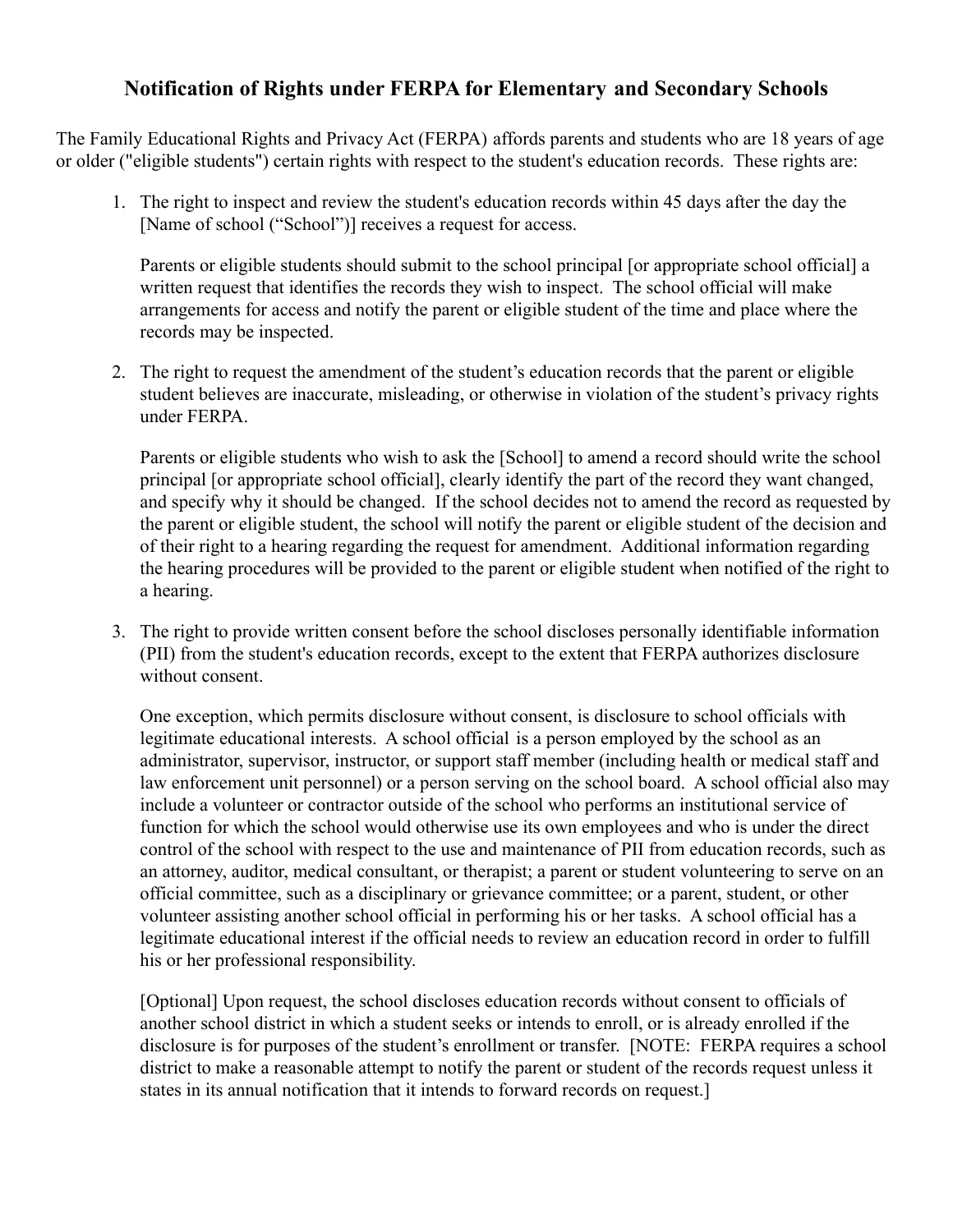## **Notification of Rights under FERPA for Elementary and Secondary Schools**

The Family Educational Rights and Privacy Act (FERPA) affords parents and students who are 18 years of age or older ("eligible students") certain rights with respect to the student's education records. These rights are:

1. The right to inspect and review the student's education records within 45 days after the day the [Name of school ("School")] receives a request for access.

Parents or eligible students should submit to the school principal [or appropriate school official] a written request that identifies the records they wish to inspect. The school official will make arrangements for access and notify the parent or eligible student of the time and place where the records may be inspected.

2. The right to request the amendment of the student's education records that the parent or eligible student believes are inaccurate, misleading, or otherwise in violation of the student's privacy rights under FERPA.

Parents or eligible students who wish to ask the [School] to amend a record should write the school principal [or appropriate school official], clearly identify the part of the record they want changed, and specify why it should be changed. If the school decides not to amend the record as requested by the parent or eligible student, the school will notify the parent or eligible student of the decision and of their right to a hearing regarding the request for amendment. Additional information regarding the hearing procedures will be provided to the parent or eligible student when notified of the right to a hearing.

3. The right to provide written consent before the school discloses personally identifiable information (PII) from the student's education records, except to the extent that FERPA authorizes disclosure without consent.

One exception, which permits disclosure without consent, is disclosure to school officials with legitimate educational interests. A school official is a person employed by the school as an administrator, supervisor, instructor, or support staff member (including health or medical staff and law enforcement unit personnel) or a person serving on the school board. A school official also may include a volunteer or contractor outside of the school who performs an institutional service of function for which the school would otherwise use its own employees and who is under the direct control of the school with respect to the use and maintenance of PII from education records, such as an attorney, auditor, medical consultant, or therapist; a parent or student volunteering to serve on an official committee, such as a disciplinary or grievance committee; or a parent, student, or other volunteer assisting another school official in performing his or her tasks. A school official has a legitimate educational interest if the official needs to review an education record in order to fulfill his or her professional responsibility.

[Optional] Upon request, the school discloses education records without consent to officials of another school district in which a student seeks or intends to enroll, or is already enrolled if the disclosure is for purposes of the student's enrollment or transfer. [NOTE: FERPA requires a school district to make a reasonable attempt to notify the parent or student of the records request unless it states in its annual notification that it intends to forward records on request.]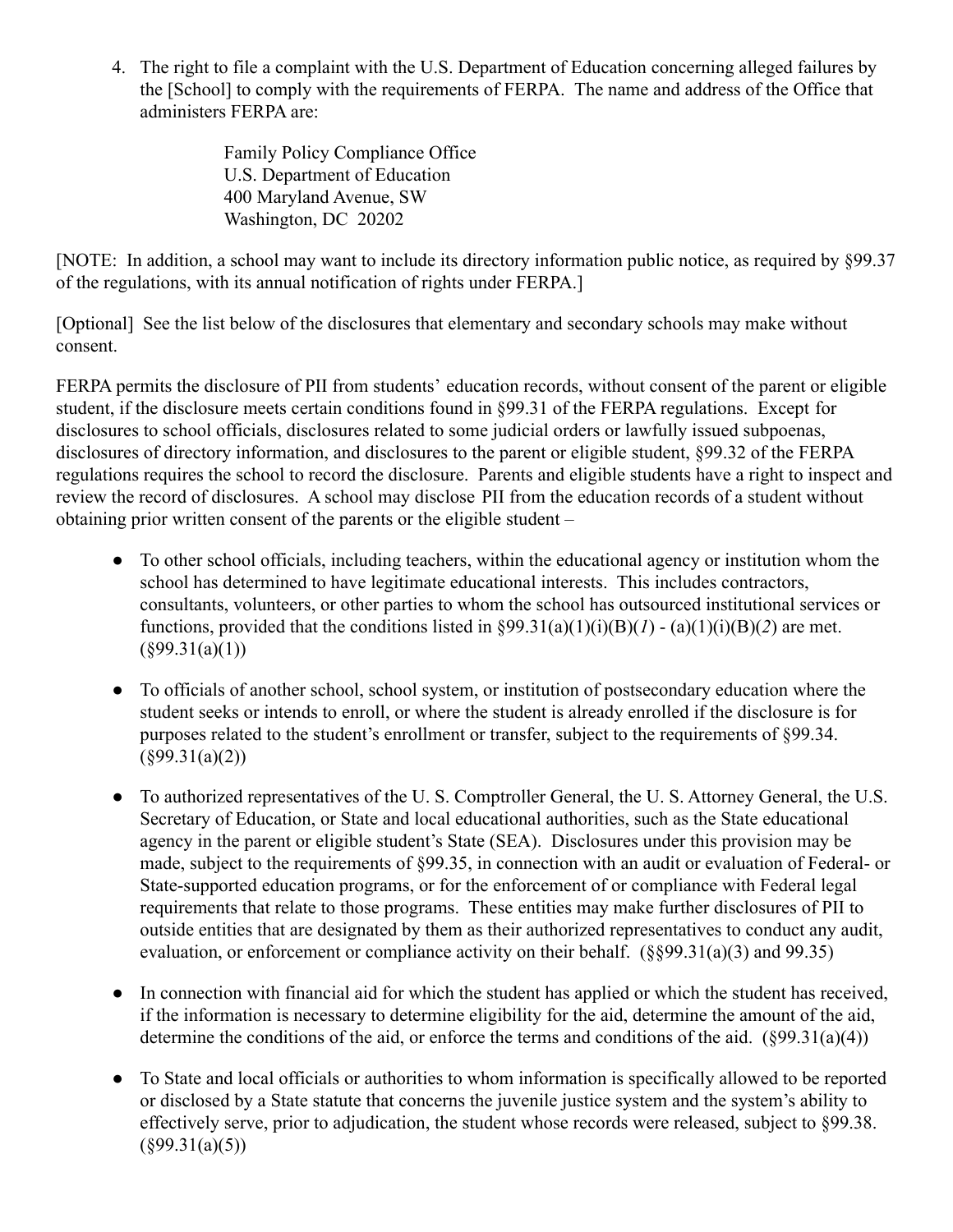4. The right to file a complaint with the U.S. Department of Education concerning alleged failures by the [School] to comply with the requirements of FERPA. The name and address of the Office that administers FERPA are:

> Family Policy Compliance Office U.S. Department of Education 400 Maryland Avenue, SW Washington, DC 20202

[NOTE: In addition, a school may want to include its directory information public notice, as required by §99.37 of the regulations, with its annual notification of rights under FERPA.]

[Optional] See the list below of the disclosures that elementary and secondary schools may make without consent.

FERPA permits the disclosure of PII from students' education records, without consent of the parent or eligible student, if the disclosure meets certain conditions found in §99.31 of the FERPA regulations. Except for disclosures to school officials, disclosures related to some judicial orders or lawfully issued subpoenas, disclosures of directory information, and disclosures to the parent or eligible student, §99.32 of the FERPA regulations requires the school to record the disclosure. Parents and eligible students have a right to inspect and review the record of disclosures. A school may disclose PII from the education records of a student without obtaining prior written consent of the parents or the eligible student –

- To other school officials, including teachers, within the educational agency or institution whom the school has determined to have legitimate educational interests. This includes contractors, consultants, volunteers, or other parties to whom the school has outsourced institutional services or functions, provided that the conditions listed in  $\frac{99.31(a)(1)(i)(B)(I) - (a)(1)(i)(B)(2)}{I}$  are met.  $(\S 99.31(a)(1))$
- To officials of another school, school system, or institution of postsecondary education where the student seeks or intends to enroll, or where the student is already enrolled if the disclosure is for purposes related to the student's enrollment or transfer, subject to the requirements of §99.34.  $(899.31(a)(2))$
- To authorized representatives of the U. S. Comptroller General, the U. S. Attorney General, the U.S. Secretary of Education, or State and local educational authorities, such as the State educational agency in the parent or eligible student's State (SEA). Disclosures under this provision may be made, subject to the requirements of §99.35, in connection with an audit or evaluation of Federal- or State-supported education programs, or for the enforcement of or compliance with Federal legal requirements that relate to those programs. These entities may make further disclosures of PII to outside entities that are designated by them as their authorized representatives to conduct any audit, evaluation, or enforcement or compliance activity on their behalf. (§§99.31(a)(3) and 99.35)
- In connection with financial aid for which the student has applied or which the student has received, if the information is necessary to determine eligibility for the aid, determine the amount of the aid, determine the conditions of the aid, or enforce the terms and conditions of the aid.  $(\frac{899.31(a)(4)}{4})$
- To State and local officials or authorities to whom information is specifically allowed to be reported or disclosed by a State statute that concerns the juvenile justice system and the system's ability to effectively serve, prior to adjudication, the student whose records were released, subject to §99.38.  $(\S 99.31(a)(5))$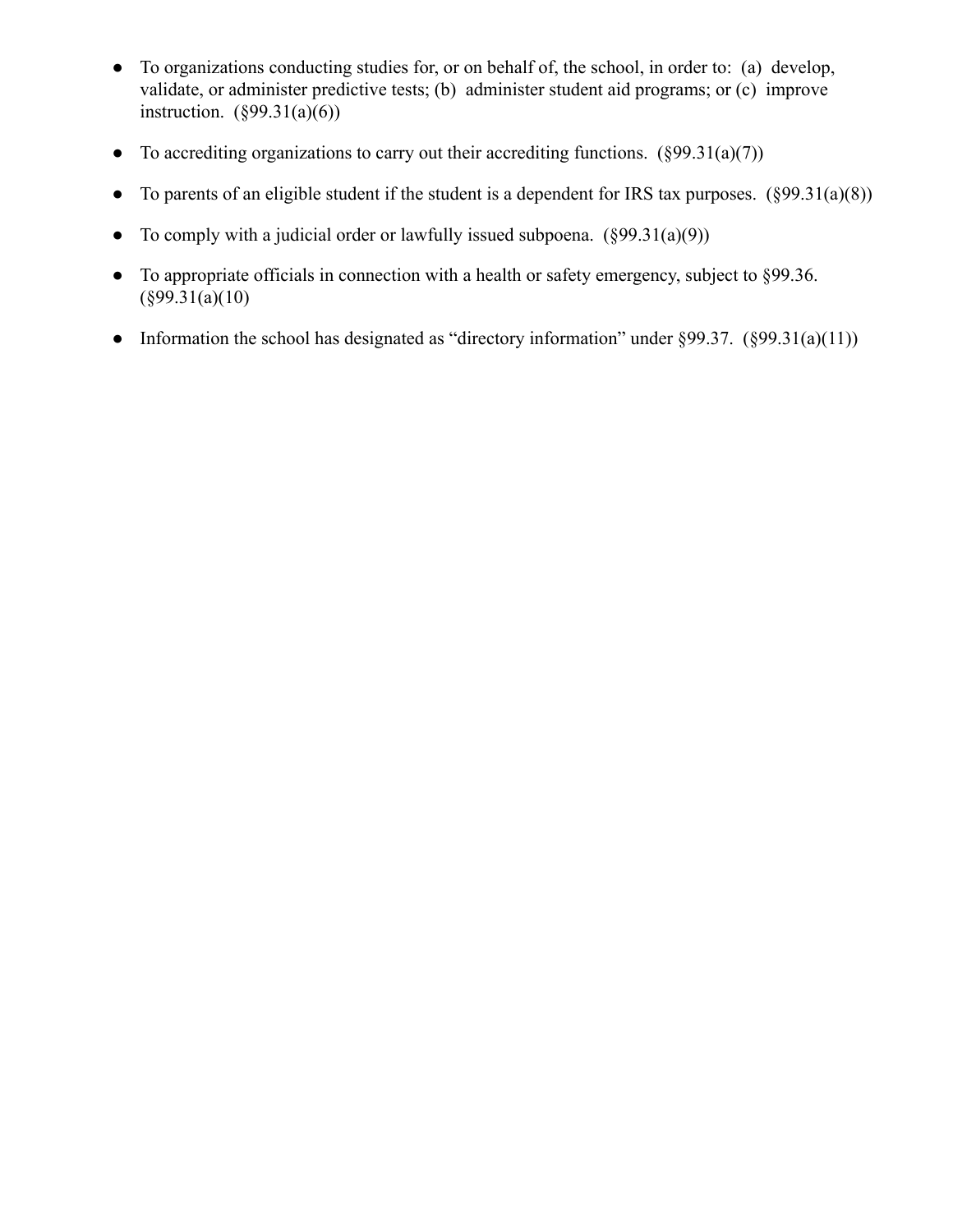- To organizations conducting studies for, or on behalf of, the school, in order to: (a) develop, validate, or administer predictive tests; (b) administer student aid programs; or (c) improve instruction.  $(\S 99.31(a)(6))$
- To accrediting organizations to carry out their accrediting functions.  $(\S 99.31(a)(7))$
- To parents of an eligible student if the student is a dependent for IRS tax purposes.  $(\S 99.31(a)(8))$
- To comply with a judicial order or lawfully issued subpoena.  $(\frac{899.31(a)(9)}{2})$
- To appropriate officials in connection with a health or safety emergency, subject to §99.36.  $(\S 99.31(a)(10))$
- Information the school has designated as "directory information" under  $\S 99.37.$  ( $\S 99.31(a)(11)$ )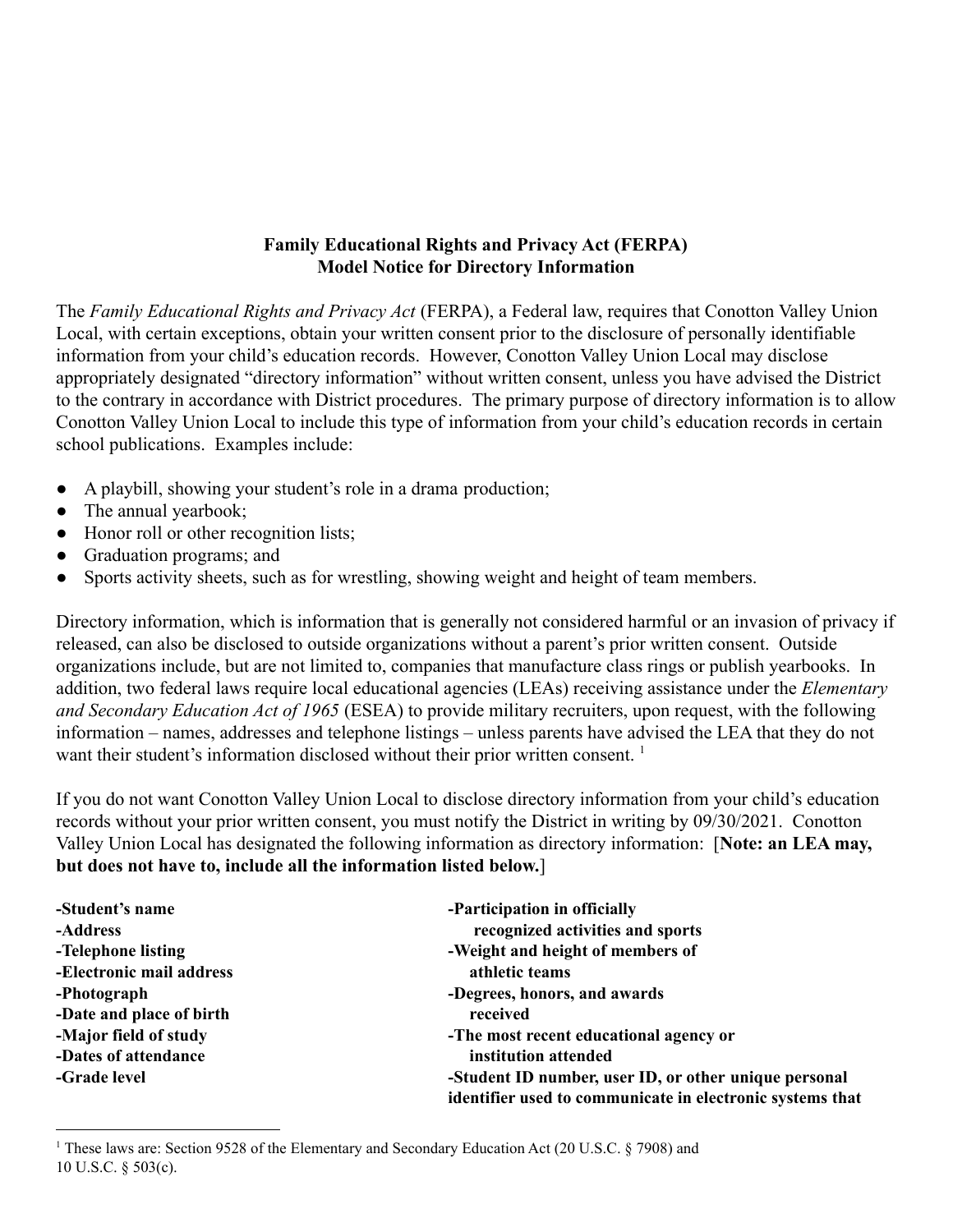## **Family Educational Rights and Privacy Act (FERPA) Model Notice for Directory Information**

The *Family Educational Rights and Privacy Act* (FERPA), a Federal law, requires that Conotton Valley Union Local, with certain exceptions, obtain your written consent prior to the disclosure of personally identifiable information from your child's education records. However, Conotton Valley Union Local may disclose appropriately designated "directory information" without written consent, unless you have advised the District to the contrary in accordance with District procedures. The primary purpose of directory information is to allow Conotton Valley Union Local to include this type of information from your child's education records in certain school publications. Examples include:

- A playbill, showing your student's role in a drama production;
- The annual yearbook;
- Honor roll or other recognition lists;
- Graduation programs; and
- Sports activity sheets, such as for wrestling, showing weight and height of team members.

Directory information, which is information that is generally not considered harmful or an invasion of privacy if released, can also be disclosed to outside organizations without a parent's prior written consent. Outside organizations include, but are not limited to, companies that manufacture class rings or publish yearbooks. In addition, two federal laws require local educational agencies (LEAs) receiving assistance under the *Elementary and Secondary Education Act of 1965* (ESEA) to provide military recruiters, upon request, with the following information – names, addresses and telephone listings – unless parents have advised the LEA that they do not want their student's information disclosed without their prior written consent.<sup>1</sup>

If you do not want Conotton Valley Union Local to disclose directory information from your child's education records without your prior written consent, you must notify the District in writing by 09/30/2021. Conotton Valley Union Local has designated the following information as directory information: [**Note: an LEA may, but does not have to, include all the information listed below.**]

| -Student's name          | -Participation in officially                              |
|--------------------------|-----------------------------------------------------------|
| -Address                 | recognized activities and sports                          |
| -Telephone listing       | -Weight and height of members of                          |
| -Electronic mail address | athletic teams                                            |
| -Photograph              | -Degrees, honors, and awards                              |
| -Date and place of birth | received                                                  |
| -Major field of study    | -The most recent educational agency or                    |
| -Dates of attendance     | institution attended                                      |
| -Grade level             | -Student ID number, user ID, or other unique personal     |
|                          | identifier used to communicate in electronic systems that |

<sup>1</sup> These laws are: Section 9528 of the Elementary and Secondary Education Act (20 U.S.C. § 7908) and 10 U.S.C. § 503(c).